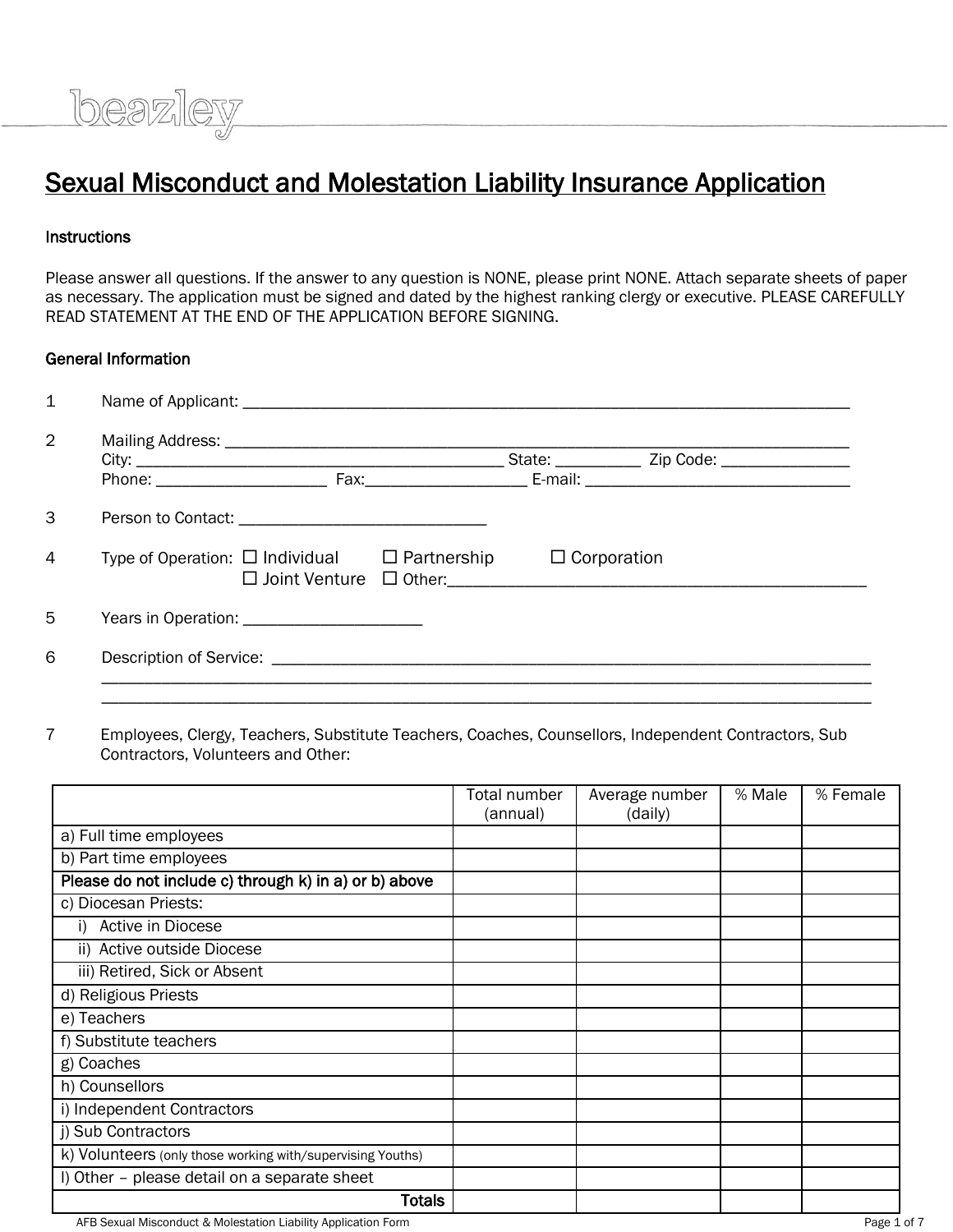# Sexual Misconduct and Molestation Liability Insurance Application

#### **Instructions**

Please answer all questions. If the answer to any question is NONE, please print NONE. Attach separate sheets of paper as necessary. The application must be signed and dated by the highest ranking clergy or executive. PLEASE CAREFULLY READ STATEMENT AT THE END OF THE APPLICATION BEFORE SIGNING.

#### General Information

beazley

| 1              |                                                         |  |                    |  |
|----------------|---------------------------------------------------------|--|--------------------|--|
| $\overline{2}$ |                                                         |  |                    |  |
| 3              |                                                         |  |                    |  |
| 4              | Type of Operation: $\Box$ Individual $\Box$ Partnership |  | $\Box$ Corporation |  |
| 5              | Years in Operation: __________________________          |  |                    |  |
| 6              |                                                         |  |                    |  |

7 Employees, Clergy, Teachers, Substitute Teachers, Coaches, Counsellors, Independent Contractors, Sub Contractors, Volunteers and Other:

|                                                            | Total number | Average number | % Male | % Female |
|------------------------------------------------------------|--------------|----------------|--------|----------|
|                                                            | (annual)     | (daily)        |        |          |
| a) Full time employees                                     |              |                |        |          |
| b) Part time employees                                     |              |                |        |          |
| Please do not include c) through k) in a) or b) above      |              |                |        |          |
| c) Diocesan Priests:                                       |              |                |        |          |
| Active in Diocese                                          |              |                |        |          |
| ii) Active outside Diocese                                 |              |                |        |          |
| iii) Retired, Sick or Absent                               |              |                |        |          |
| d) Religious Priests                                       |              |                |        |          |
| e) Teachers                                                |              |                |        |          |
| f) Substitute teachers                                     |              |                |        |          |
| g) Coaches                                                 |              |                |        |          |
| h) Counsellors                                             |              |                |        |          |
| i) Independent Contractors                                 |              |                |        |          |
| j) Sub Contractors                                         |              |                |        |          |
| k) Volunteers (only those working with/supervising Youths) |              |                |        |          |
| I) Other - please detail on a separate sheet               |              |                |        |          |
| Totals                                                     |              |                |        |          |

AFB Sexual Misconduct & Molestation Liability Application Form **Page 1 of 7** and 2012 1 and 2012 1 and 2013 1 and 2014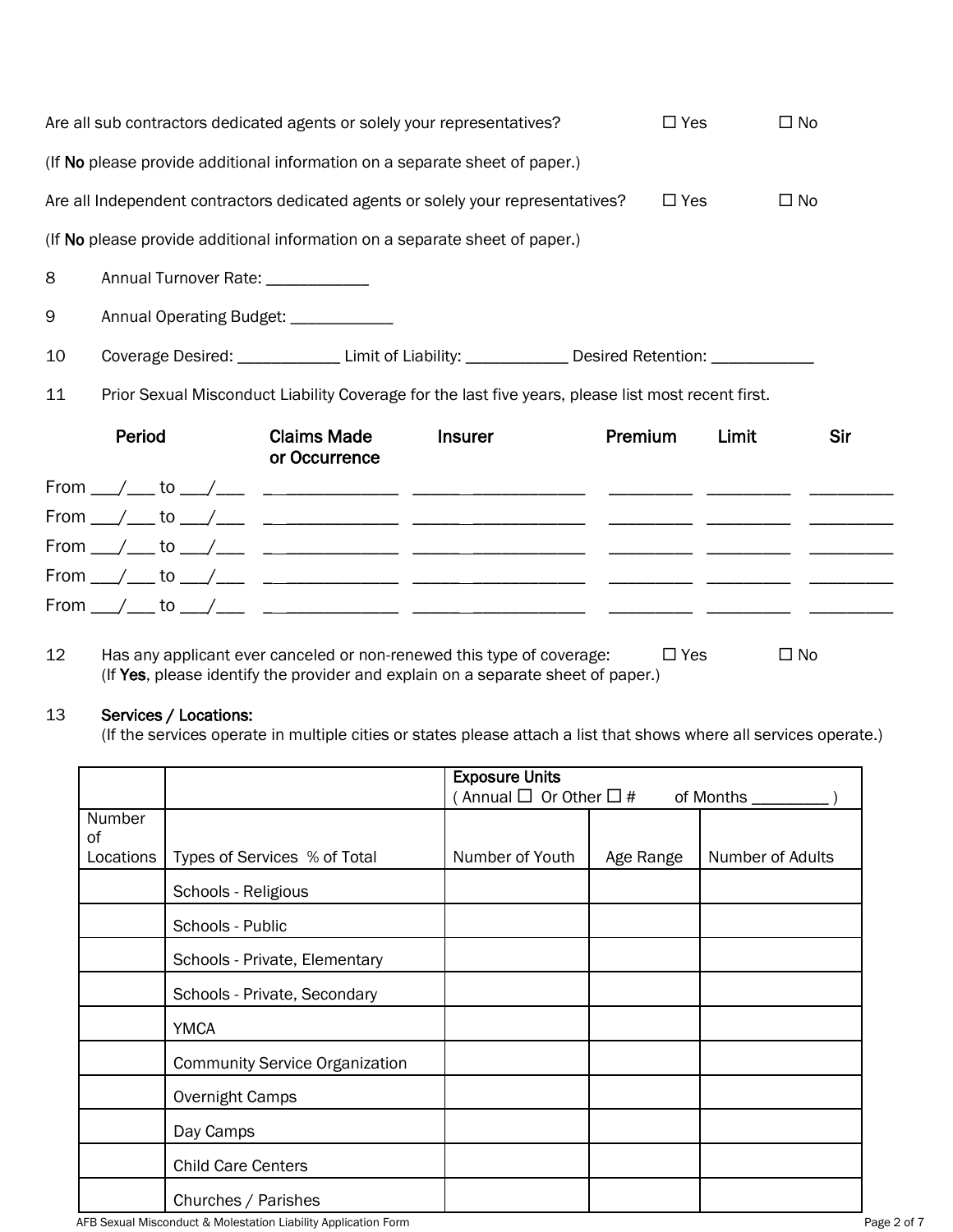| $\square$ Yes<br>$\Box$ No<br>Are all sub contractors dedicated agents or solely your representatives? |                                                                                                             |                                     |                |         |       |     |  |
|--------------------------------------------------------------------------------------------------------|-------------------------------------------------------------------------------------------------------------|-------------------------------------|----------------|---------|-------|-----|--|
|                                                                                                        | (If No please provide additional information on a separate sheet of paper.)                                 |                                     |                |         |       |     |  |
|                                                                                                        | $\Box$ Yes<br>$\Box$ No<br>Are all Independent contractors dedicated agents or solely your representatives? |                                     |                |         |       |     |  |
|                                                                                                        | (If No please provide additional information on a separate sheet of paper.)                                 |                                     |                |         |       |     |  |
| 8                                                                                                      | Annual Turnover Rate: ____________                                                                          |                                     |                |         |       |     |  |
| 9                                                                                                      | Annual Operating Budget: _____________                                                                      |                                     |                |         |       |     |  |
| 10                                                                                                     | Coverage Desired: ______________Limit of Liability: ______________Desired Retention: ______________         |                                     |                |         |       |     |  |
| 11                                                                                                     | Prior Sexual Misconduct Liability Coverage for the last five years, please list most recent first.          |                                     |                |         |       |     |  |
|                                                                                                        | Period                                                                                                      | <b>Claims Made</b><br>or Occurrence | <b>Insurer</b> | Premium | Limit | Sir |  |
|                                                                                                        |                                                                                                             |                                     |                |         |       |     |  |
|                                                                                                        |                                                                                                             |                                     |                |         |       |     |  |
|                                                                                                        |                                                                                                             |                                     |                |         |       |     |  |
|                                                                                                        |                                                                                                             |                                     |                |         |       |     |  |
|                                                                                                        |                                                                                                             |                                     |                |         |       |     |  |

12 Has any applicant ever canceled or non-renewed this type of coverage:  $\square$  Yes  $\square$  No (If Yes, please identify the provider and explain on a separate sheet of paper.)

#### 13 Services / Locations:

(If the services operate in multiple cities or states please attach a list that shows where all services operate.)

|           |                                       | <b>Exposure Units</b>           |           |                     |
|-----------|---------------------------------------|---------------------------------|-----------|---------------------|
|           |                                       | Annual $\Box$ Or Other $\Box$ # |           | of Months _________ |
| Number    |                                       |                                 |           |                     |
| οf        |                                       |                                 |           |                     |
| Locations | Types of Services % of Total          | Number of Youth                 | Age Range | Number of Adults    |
|           | Schools - Religious                   |                                 |           |                     |
|           | Schools - Public                      |                                 |           |                     |
|           | Schools - Private, Elementary         |                                 |           |                     |
|           | Schools - Private, Secondary          |                                 |           |                     |
|           | <b>YMCA</b>                           |                                 |           |                     |
|           | <b>Community Service Organization</b> |                                 |           |                     |
|           | Overnight Camps                       |                                 |           |                     |
|           | Day Camps                             |                                 |           |                     |
|           | <b>Child Care Centers</b>             |                                 |           |                     |
|           | Churches / Parishes                   |                                 |           |                     |

AFB Sexual Misconduct & Molestation Liability Application Form **Page 2 of 7** Page 2 of 7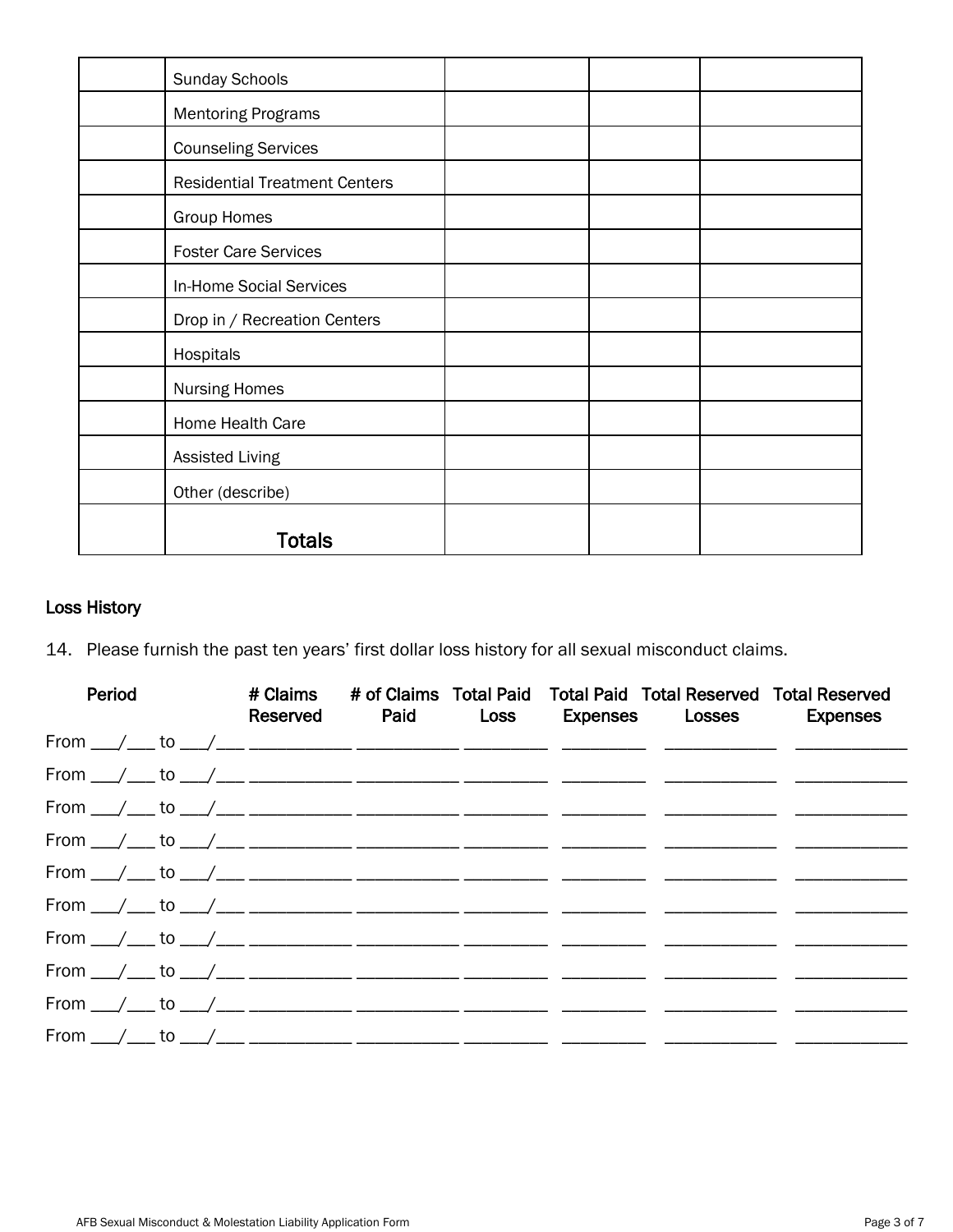| <b>Sunday Schools</b>                |  |  |
|--------------------------------------|--|--|
| <b>Mentoring Programs</b>            |  |  |
| <b>Counseling Services</b>           |  |  |
| <b>Residential Treatment Centers</b> |  |  |
| <b>Group Homes</b>                   |  |  |
| <b>Foster Care Services</b>          |  |  |
| In-Home Social Services              |  |  |
| Drop in / Recreation Centers         |  |  |
| Hospitals                            |  |  |
| <b>Nursing Homes</b>                 |  |  |
| Home Health Care                     |  |  |
| <b>Assisted Living</b>               |  |  |
| Other (describe)                     |  |  |
| <b>Totals</b>                        |  |  |

## Loss History

14. Please furnish the past ten years' first dollar loss history for all sexual misconduct claims.

| Period |  |  | # Claims # of Claims Total Paid Total Paid Total Reserved Total Reserved<br>Reserved Paid Loss Expenses Losses Expenses |  |
|--------|--|--|-------------------------------------------------------------------------------------------------------------------------|--|
|        |  |  |                                                                                                                         |  |
|        |  |  |                                                                                                                         |  |
|        |  |  |                                                                                                                         |  |
|        |  |  |                                                                                                                         |  |
|        |  |  |                                                                                                                         |  |
|        |  |  |                                                                                                                         |  |
|        |  |  |                                                                                                                         |  |
|        |  |  |                                                                                                                         |  |
|        |  |  |                                                                                                                         |  |
|        |  |  |                                                                                                                         |  |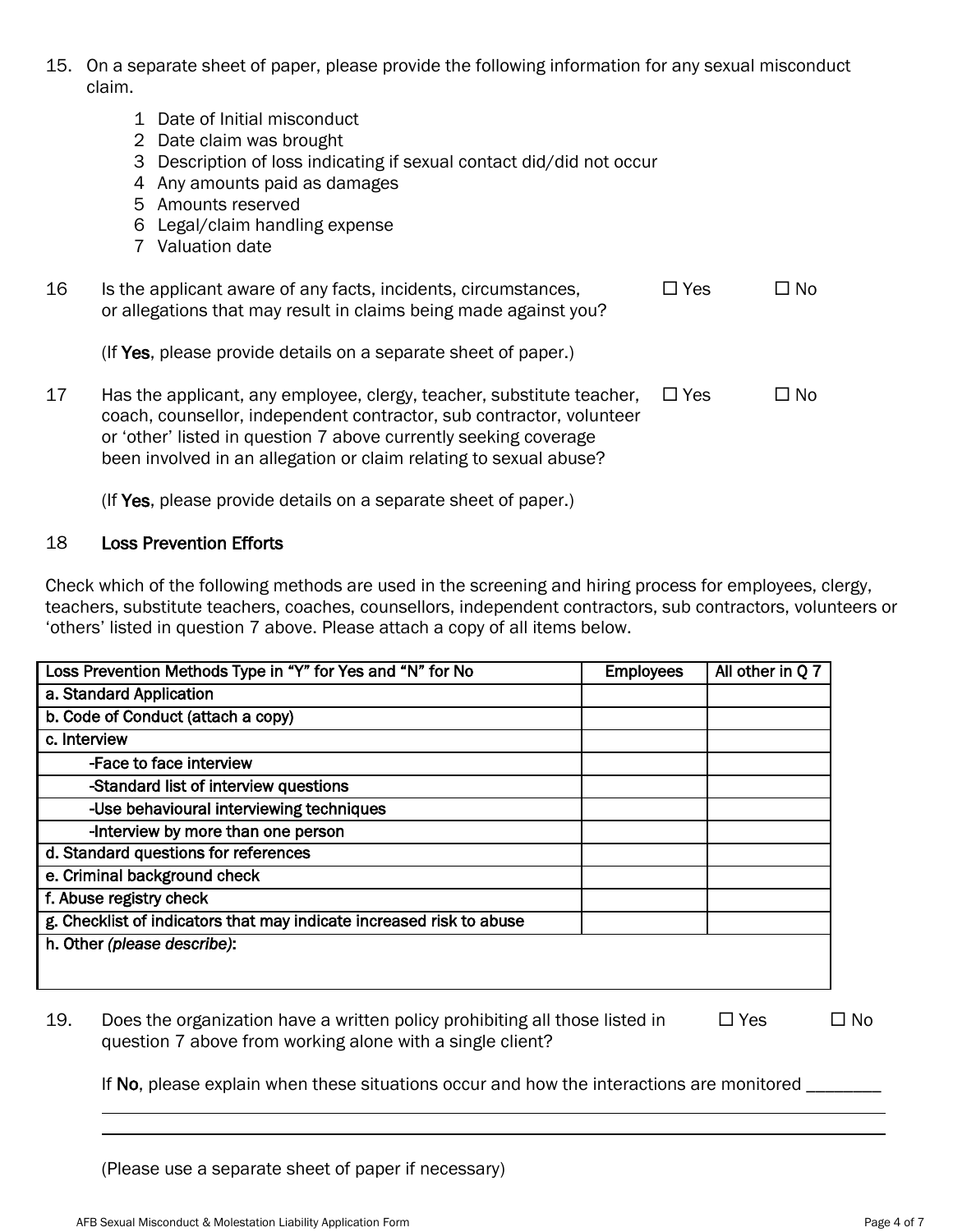- 15. On a separate sheet of paper, please provide the following information for any sexual misconduct claim.
	- 1 Date of Initial misconduct
	- 2 Date claim was brought
	- 3 Description of loss indicating if sexual contact did/did not occur
	- 4 Any amounts paid as damages
	- 5 Amounts reserved
	- 6 Legal/claim handling expense
	- 7 Valuation date

| 16 | Is the applicant aware of any facts, incidents, circumstances,<br>or allegations that may result in claims being made against you?                                                                                | $\Box$ Yes | $\square$ No |
|----|-------------------------------------------------------------------------------------------------------------------------------------------------------------------------------------------------------------------|------------|--------------|
|    | (If Yes, please provide details on a separate sheet of paper.)                                                                                                                                                    |            |              |
| 17 | Has the applicant, any employee, clergy, teacher, substitute teacher,<br>coach, counsellor, independent contractor, sub contractor, volunteer<br>or 'other' listed in question 7 above currently seeking coverage | $\Box$ Yes | $\Box$ No    |

been involved in an allegation or claim relating to sexual abuse?

(If Yes, please provide details on a separate sheet of paper.)

### 18 Loss Prevention Efforts

Check which of the following methods are used in the screening and hiring process for employees, clergy, teachers, substitute teachers, coaches, counsellors, independent contractors, sub contractors, volunteers or "others" listed in question 7 above. Please attach a copy of all items below.

| a. Standard Application                                              |  |
|----------------------------------------------------------------------|--|
|                                                                      |  |
| b. Code of Conduct (attach a copy)                                   |  |
| c. Interview                                                         |  |
| -Face to face interview                                              |  |
| -Standard list of interview questions                                |  |
| -Use behavioural interviewing techniques                             |  |
| -Interview by more than one person                                   |  |
| d. Standard questions for references                                 |  |
| e. Criminal background check                                         |  |
| f. Abuse registry check                                              |  |
| g. Checklist of indicators that may indicate increased risk to abuse |  |
| h. Other (please describe):                                          |  |

19. Does the organization have a written policy prohibiting all those listed in  $\square$  Yes  $\square$  No question 7 above from working alone with a single client?

If No, please explain when these situations occur and how the interactions are monitored \_\_\_\_\_\_\_\_

(Please use a separate sheet of paper if necessary)

i<br>L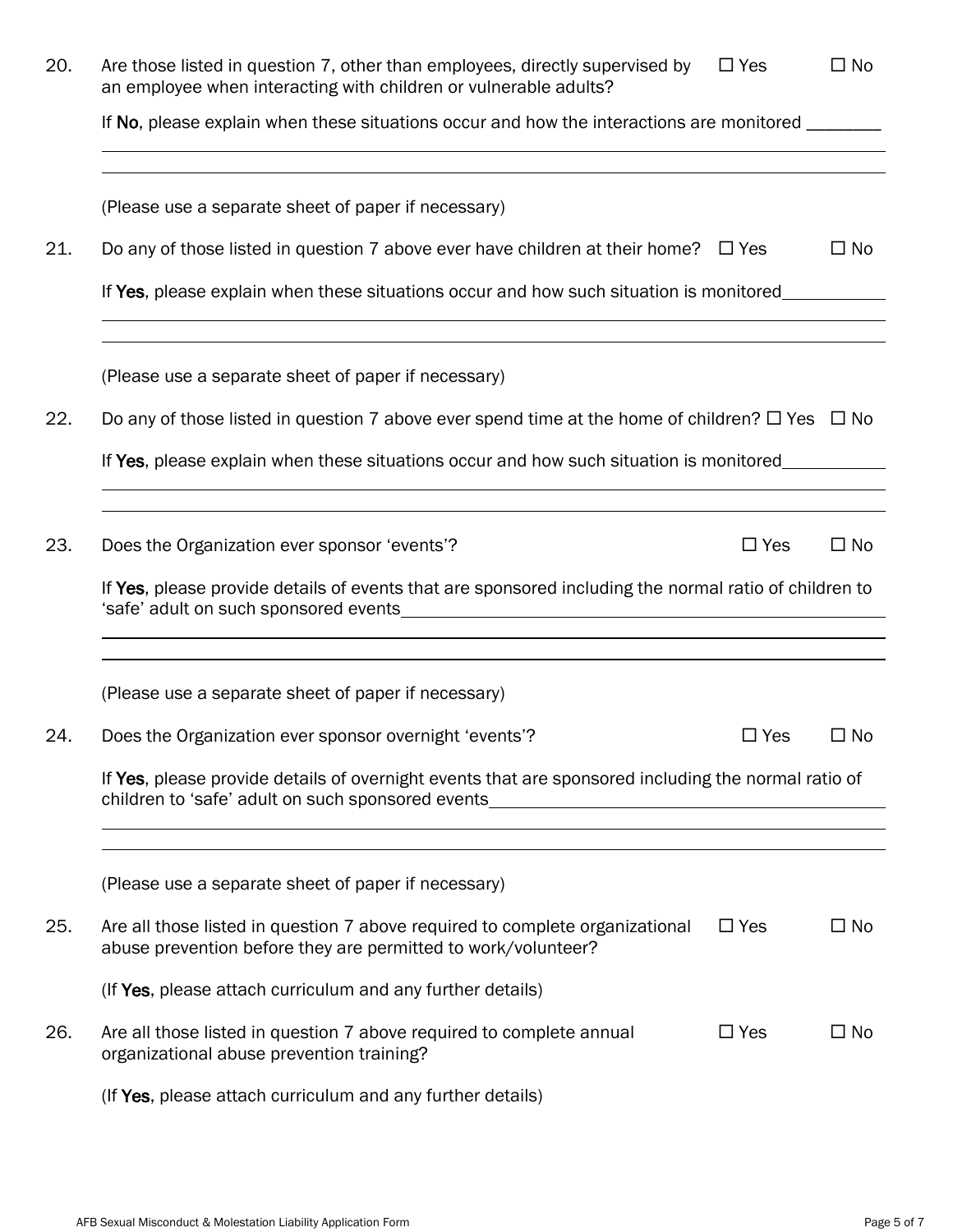| 20. | Are those listed in question 7, other than employees, directly supervised by<br>an employee when interacting with children or vulnerable adults?         | $\Box$ Yes | $\square$ No |
|-----|----------------------------------------------------------------------------------------------------------------------------------------------------------|------------|--------------|
|     | If No, please explain when these situations occur and how the interactions are monitored _______                                                         |            |              |
|     | (Please use a separate sheet of paper if necessary)                                                                                                      |            |              |
| 21. | Do any of those listed in question 7 above ever have children at their home? $\Box$ Yes                                                                  |            | $\square$ No |
|     | If Yes, please explain when these situations occur and how such situation is monitored_____________                                                      |            |              |
|     | (Please use a separate sheet of paper if necessary)                                                                                                      |            |              |
| 22. | Do any of those listed in question 7 above ever spend time at the home of children? $\Box$ Yes $\Box$ No                                                 |            |              |
|     | If Yes, please explain when these situations occur and how such situation is monitored                                                                   |            |              |
| 23. | Does the Organization ever sponsor 'events'?                                                                                                             | $\Box$ Yes | $\square$ No |
|     | If Yes, please provide details of events that are sponsored including the normal ratio of children to                                                    |            |              |
|     | (Please use a separate sheet of paper if necessary)                                                                                                      |            |              |
| 24. | Does the Organization ever sponsor overnight 'events'?                                                                                                   | $\Box$ Yes | $\square$ No |
|     | If Yes, please provide details of overnight events that are sponsored including the normal ratio of<br>children to 'safe' adult on such sponsored events |            |              |
|     | (Please use a separate sheet of paper if necessary)                                                                                                      |            |              |
| 25. | Are all those listed in question 7 above required to complete organizational<br>abuse prevention before they are permitted to work/volunteer?            | $\Box$ Yes | $\square$ No |
|     | (If Yes, please attach curriculum and any further details)                                                                                               |            |              |
| 26. | Are all those listed in question 7 above required to complete annual<br>organizational abuse prevention training?                                        | $\Box$ Yes | $\square$ No |
|     | (If Yes, please attach curriculum and any further details)                                                                                               |            |              |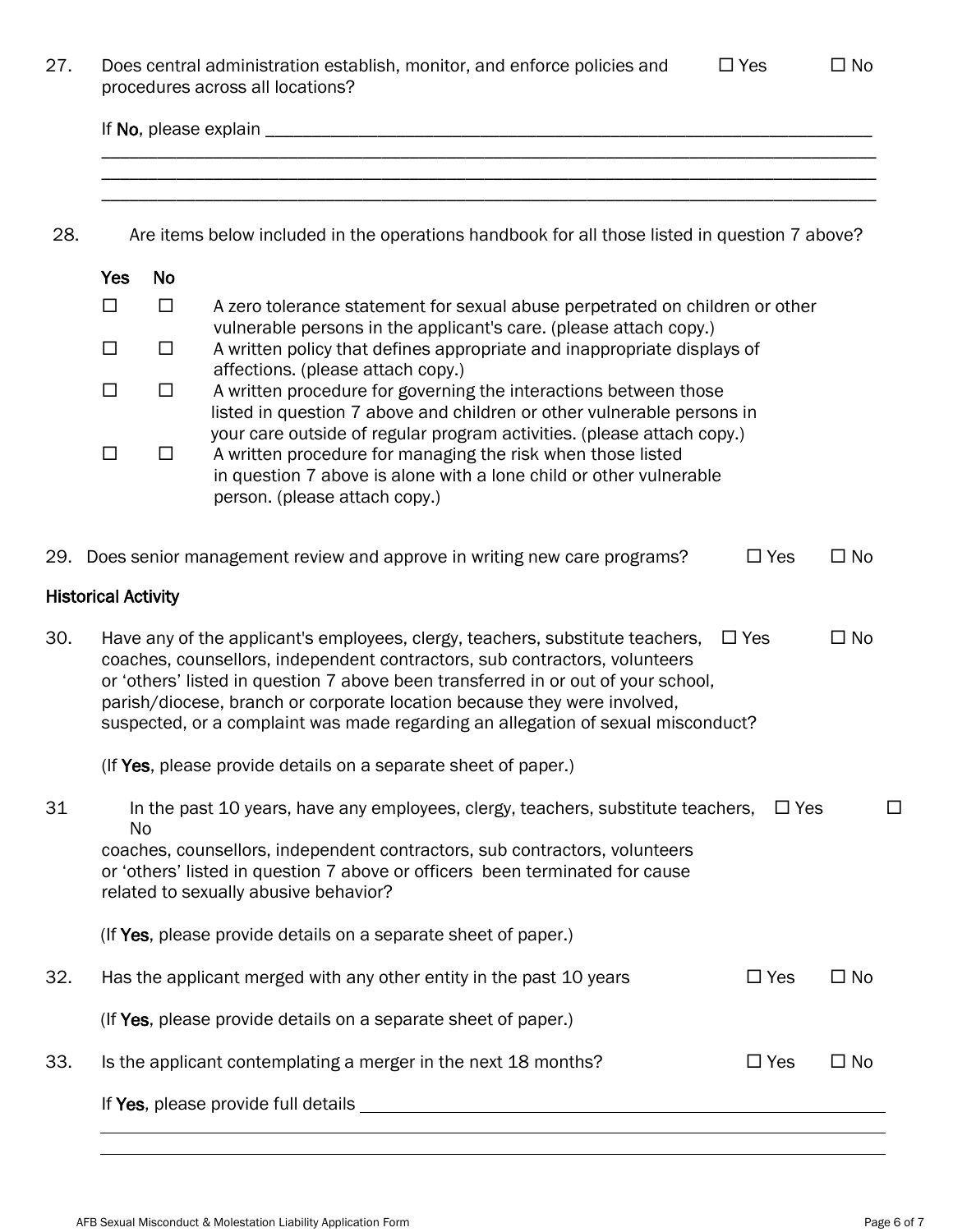| 27. |                            |           | Does central administration establish, monitor, and enforce policies and<br>procedures across all locations?                                                                                                                                                                                                                                                                                                     | $\Box$ Yes | $\square$ No |
|-----|----------------------------|-----------|------------------------------------------------------------------------------------------------------------------------------------------------------------------------------------------------------------------------------------------------------------------------------------------------------------------------------------------------------------------------------------------------------------------|------------|--------------|
|     |                            |           |                                                                                                                                                                                                                                                                                                                                                                                                                  |            |              |
|     |                            |           |                                                                                                                                                                                                                                                                                                                                                                                                                  |            |              |
| 28. |                            |           | Are items below included in the operations handbook for all those listed in question 7 above?                                                                                                                                                                                                                                                                                                                    |            |              |
|     | <b>Yes</b>                 | <b>No</b> |                                                                                                                                                                                                                                                                                                                                                                                                                  |            |              |
|     | $\Box$                     | $\Box$    | A zero tolerance statement for sexual abuse perpetrated on children or other                                                                                                                                                                                                                                                                                                                                     |            |              |
|     | $\Box$                     | $\Box$    | vulnerable persons in the applicant's care. (please attach copy.)<br>A written policy that defines appropriate and inappropriate displays of<br>affections. (please attach copy.)                                                                                                                                                                                                                                |            |              |
|     | $\Box$                     | $\Box$    | A written procedure for governing the interactions between those<br>listed in question 7 above and children or other vulnerable persons in                                                                                                                                                                                                                                                                       |            |              |
|     | $\Box$                     | $\Box$    | your care outside of regular program activities. (please attach copy.)<br>A written procedure for managing the risk when those listed<br>in question 7 above is alone with a lone child or other vulnerable<br>person. (please attach copy.)                                                                                                                                                                     |            |              |
|     |                            |           | 29. Does senior management review and approve in writing new care programs?                                                                                                                                                                                                                                                                                                                                      | $\Box$ Yes | $\square$ No |
|     | <b>Historical Activity</b> |           |                                                                                                                                                                                                                                                                                                                                                                                                                  |            |              |
| 30. |                            |           | Have any of the applicant's employees, clergy, teachers, substitute teachers,<br>coaches, counsellors, independent contractors, sub contractors, volunteers<br>or 'others' listed in question 7 above been transferred in or out of your school,<br>parish/diocese, branch or corporate location because they were involved,<br>suspected, or a complaint was made regarding an allegation of sexual misconduct? | $\Box$ Yes | $\Box$ No    |
|     |                            |           | (If Yes, please provide details on a separate sheet of paper.)                                                                                                                                                                                                                                                                                                                                                   |            |              |
| 31  |                            | No        | In the past 10 years, have any employees, clergy, teachers, substitute teachers,<br>coaches, counsellors, independent contractors, sub contractors, volunteers<br>or 'others' listed in question 7 above or officers been terminated for cause<br>related to sexually abusive behavior?                                                                                                                          | $\Box$ Yes | ப            |
|     |                            |           | (If Yes, please provide details on a separate sheet of paper.)                                                                                                                                                                                                                                                                                                                                                   |            |              |
| 32. |                            |           | Has the applicant merged with any other entity in the past 10 years                                                                                                                                                                                                                                                                                                                                              | $\Box$ Yes | $\square$ No |
|     |                            |           | (If Yes, please provide details on a separate sheet of paper.)                                                                                                                                                                                                                                                                                                                                                   |            |              |
| 33. |                            |           | Is the applicant contemplating a merger in the next 18 months?                                                                                                                                                                                                                                                                                                                                                   | $\Box$ Yes | $\square$ No |
|     |                            |           | If Yes, please provide full details _____                                                                                                                                                                                                                                                                                                                                                                        |            |              |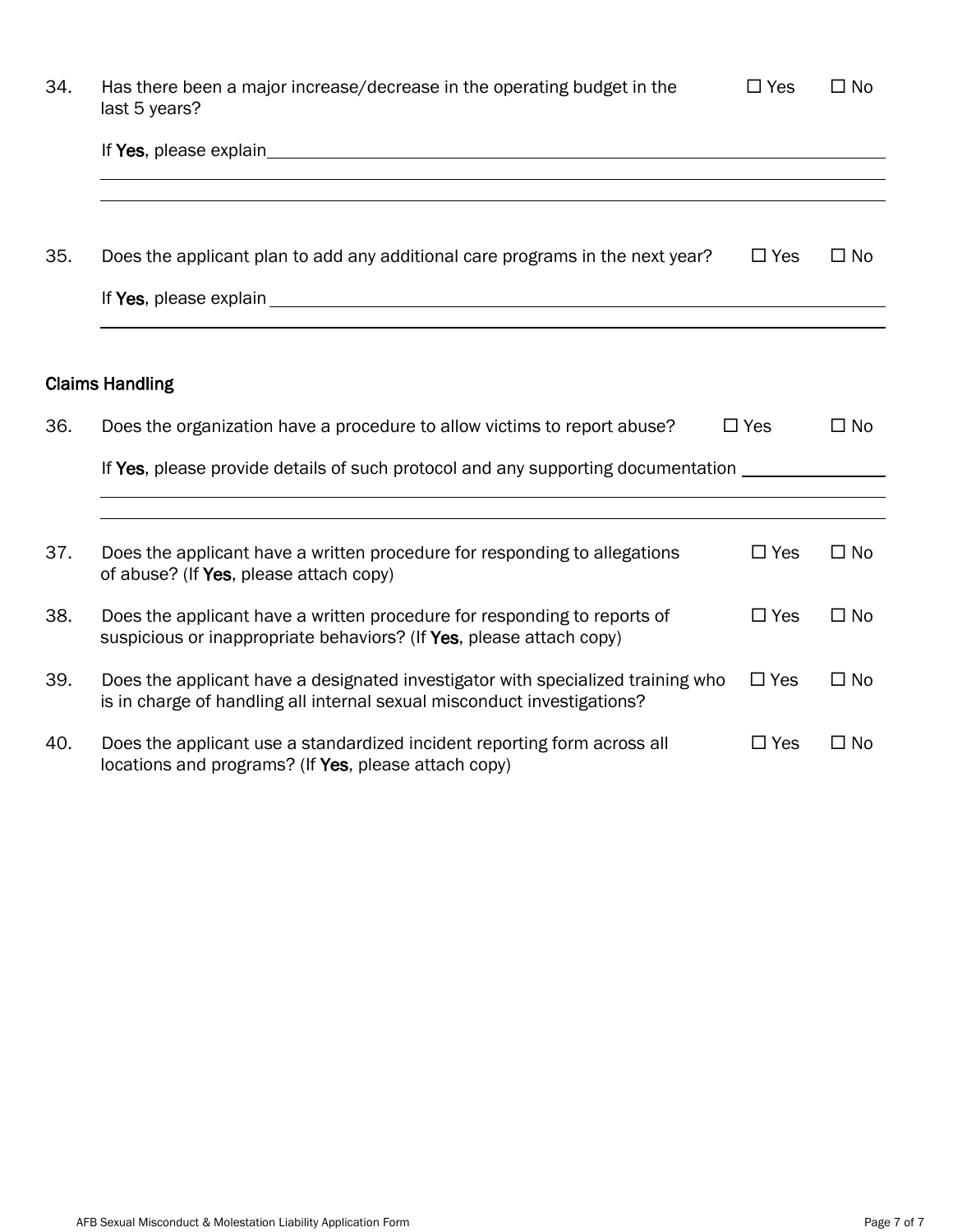| 34. | Has there been a major increase/decrease in the operating budget in the<br>last 5 years?                                                                                                                                      | $\Box$ Yes | $\square$ No |
|-----|-------------------------------------------------------------------------------------------------------------------------------------------------------------------------------------------------------------------------------|------------|--------------|
|     | If Yes, please explain example and the set of the set of the set of the set of the set of the set of the set of the set of the set of the set of the set of the set of the set of the set of the set of the set of the set of |            |              |
|     |                                                                                                                                                                                                                               |            |              |
| 35. | Does the applicant plan to add any additional care programs in the next year?                                                                                                                                                 | $\Box$ Yes | $\square$ No |
|     |                                                                                                                                                                                                                               |            |              |
|     | <b>Claims Handling</b>                                                                                                                                                                                                        |            |              |
| 36. | Does the organization have a procedure to allow victims to report abuse?                                                                                                                                                      | $\Box$ Yes | $\Box$ No    |
|     | If Yes, please provide details of such protocol and any supporting documentation                                                                                                                                              |            |              |
|     |                                                                                                                                                                                                                               |            |              |
| 37. | Does the applicant have a written procedure for responding to allegations<br>of abuse? (If Yes, please attach copy)                                                                                                           | $\Box$ Yes | $\square$ No |
| 38. | Does the applicant have a written procedure for responding to reports of<br>suspicious or inappropriate behaviors? (If Yes, please attach copy)                                                                               | $\Box$ Yes | $\Box$ No    |
| 39. | Does the applicant have a designated investigator with specialized training who<br>is in charge of handling all internal sexual misconduct investigations?                                                                    | $\Box$ Yes | $\Box$ No    |
| 40. | Does the applicant use a standardized incident reporting form across all<br>locations and programs? (If Yes, please attach copy)                                                                                              | $\Box$ Yes | $\Box$ No    |